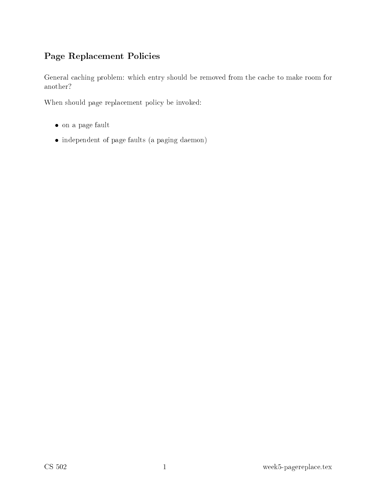# Page Repla
ement Poli
ies

General caching problem: which entry should be removed from the cache to make room for another?

When should page replacement policy be invoked:

- on <sup>a</sup> page fault
- independent of page faults (a paging daemon)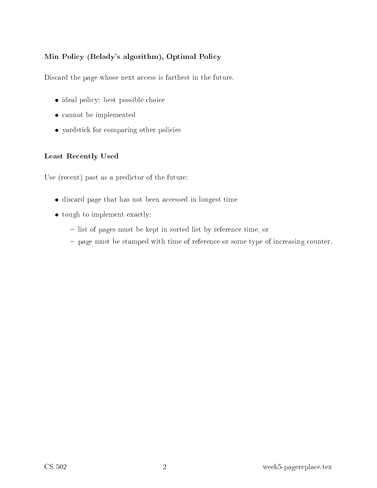## Min Policy (Belady's algorithm), Optimal Policy

Discard the page whose next access is farthest in the future.

- ideal policy: best possible choice
- cannot be implemented
- yardstick for comparing other policies

#### Least Re
ently Used

Use (recent) past as a predictor of the future:

- discard page that has not been accessed in longest time
- tough to implement exactly:
	- { list of pages must be kept in sorted list by referen
	e time, or
	- page must be stamped with time of reference or some type of increasing counter.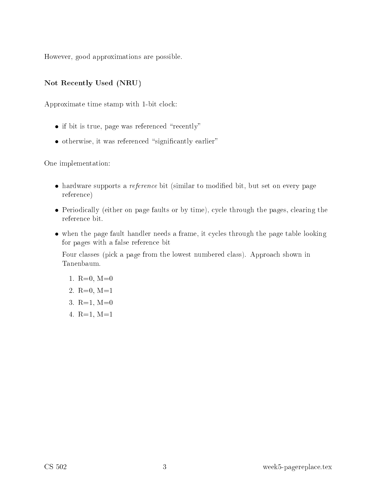However, good approximations are possible.

## Not Re
ently Used (NRU)

Approximate time stamp with 1-bit clock:

- $\bullet$  if bit is true, page was referenced "recently"
- otherwise, it was referenced "significantly earlier"

One implementation:

- hardware supports a *reference* bit (similar to modified bit, but set on every page referen
e)
- Periodically (either on page faults or by time), cycle through the pages, clearing the referen
e bit.
- when the page fault handler needs a frame, it cycles through the page table looking for pages with a false referen
e bit

Four classes (pick a page from the lowest numbered class). Approach shown in Tanenbaum.

- 1.  $R=0$ ,  $M=0$
- 2.  $R=0$ ,  $M=1$
- 3.  $R=1$ ,  $M=0$
- 4. R=1, M=1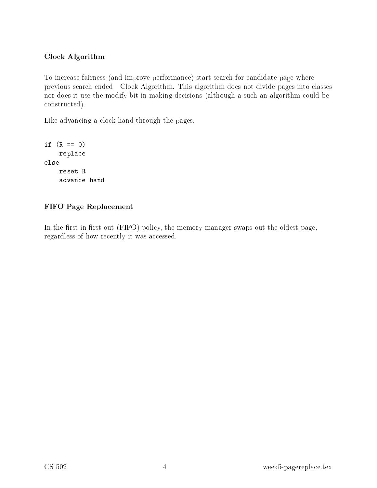## Clo
k Algorithm

To increase fairness (and improve performance) start search for candidate page where previous search ended—Clock Algorithm. This algorithm does not divide pages into classes nor does it use the modify bit in making decisions (although a such an algorithm could be onstru
ted).

Like advancing a clock hand through the pages.

```
if (R == 0)repla
e
else
    reset R
    advan
e hand
```
### FIFO Page Repla
ement

In the first in first out (FIFO) policy, the memory manager swaps out the oldest page, regardless of how recently it was accessed.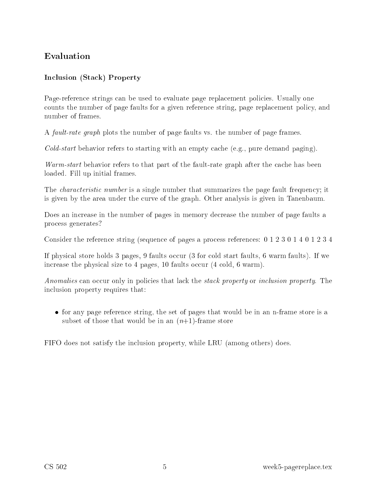## In
lusion (Sta
k) Property

Page-reference strings can be used to evaluate page replacement policies. Usually one counts the number of page faults for a given reference string, page replacement policy, and number of frames.

<sup>A</sup> fault-rate graph plots the number of page faults vs. the number of page frames.

 $Gold\t-start$  behavior refers to starting with an empty cache (e.g., pure demand paging).

Warm-start behavior refers to that part of the fault-rate graph after the cache has been loaded. Fill up initial frames.

The *characteristic number* is a single number that summarizes the page fault frequency; it is given by the area under the curve of the graph. Other analysis is given in Tanenbaum.

Does an increase in the number of pages in memory decrease the number of page faults a pro
ess generates?

Consider the reference string (sequence of pages a process references: 0 1 2 3 0 1 4 0 1 2 3 4

If physical store holds 3 pages, 9 faults occur (3 for cold start faults, 6 warm faults). If we increase the physical size to 4 pages, 10 faults occur  $(4 \text{ cold}, 6 \text{ warm})$ .

Anomalies can occur only in policies that lack the *stack property* or *inclusion property*. The in
lusion property requires that:

• for any page reference string, the set of pages that would be in an n-frame store is a subset of those that would be in an  $(n+1)$ -frame store

FIFO does not satisfy the in
lusion property, while LRU (among others) does.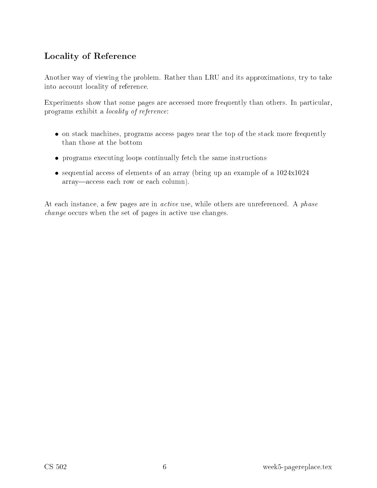# Lo
ality of Referen
e

Another way of viewing the problem. Rather than LRU and its approximations, try to take into account locality of reference.

Experiments show that some pages are accessed more frequently than others. In particular, programs exhibit a lo
ality of referen
e:

- on stack machines, programs access pages near the top of the stack more frequently than those at the bottom
- programs executing loops continually fetch the same instructions
- sequential access of elements of an array (bring up an example of a  $1024x1024$ array—access each row or each column).

At each instance, a few pages are in *active* use, while others are unreferenced. A *phase* change occurs when the set of pages in active use changes.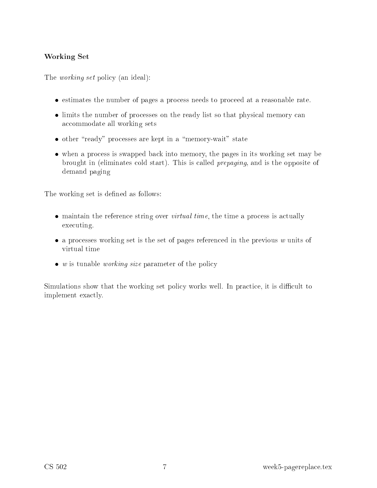## Working Set

The *working set* policy (an ideal):

- estimates the number of pages a process needs to proceed at a reasonable rate.
- limits the number of processes on the ready list so that physical memory can accommodate all working sets
- other "ready" processes are kept in a "memory-wait" state
- when a process is swapped back into memory, the pages in its working set may be brought in (eliminates old start). This is alled prepaging, and is the opposite of demand paging

The working set is defined as follows:

- maintain the reference string over *virtual time*, the time a process is actually executing.
- a processes working set is the set of pages referenced in the previous  $w$  units of
- $\bullet$  w is tunable working size parameter of the policy

Simulations show that the working set policy works well. In practice, it is difficult to implement exactly.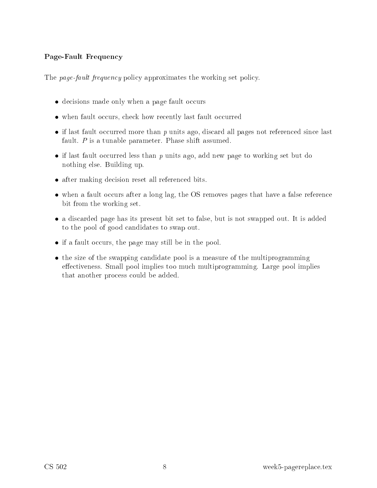#### Page-Fault Frequen
y

The page-fault frequency policy approximates the working set policy.

- decisions made only when a page fault occurs
- when fault occurs, check how recently last fault occurred
- if last fault occurred more than  $p$  units ago, discard all pages not referenced since last fault.  $P$  is a tunable parameter. Phase shift assumed.
- if last fault occurred less than  $p$  units ago, add new page to working set but do nothing else. Building up.
- after making decision reset all referenced bits.
- $\bullet$  when a fault occurs after a long lag, the OS removes pages that have a false reference bit from the working set.
- a discarded page has its present bit set to false, but is not swapped out. It is added to the pool of good andidates to swap out.
- if a fault occurs, the page may still be in the pool.
- the size of the swapping candidate pool is a measure of the multiprogramming effectiveness. Small pool implies too much multiprogramming. Large pool implies that another pro
ess ould be added.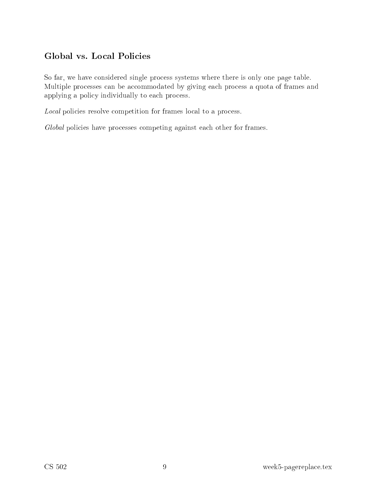So far, we have considered single process systems where there is only one page table. Multiple processes can be accommodated by giving each process a quota of frames and applying a policy individually to each process.

Local policies resolve competition for frames local to a process.

Global policies have processes competing against each other for frames.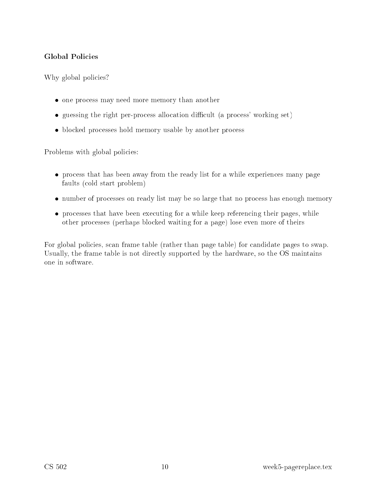## Global Poli
ies

Why global policies?

- one process may need more memory than another
- guessing the right per-process allocation difficult (a process' working set)
- blocked processes hold memory usable by another process

Problems with global policies:

- process that has been away from the ready list for a while experiences many page faults (
old start problem)
- number of processes on ready list may be so large that no process has enough memory
- processes that have been executing for a while keep referencing their pages, while other pro
esses (perhaps blo
ked waiting for a page) lose even more of theirs

For global policies, scan frame table (rather than page table) for candidate pages to swap. Usually, the frame table is not directly supported by the hardware, so the OS maintains one in software.